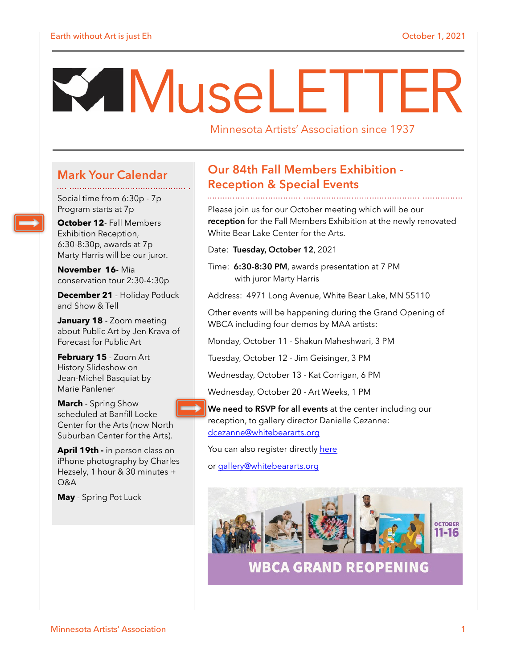# MuseLETTER

Minnesota Artists' Association since 1937

#### **Mark Your Calendar**

Social time from 6:30p - 7p Program starts at 7p

**October 12**- Fall Members Exhibition Reception, 6:30-8:30p, awards at 7p Marty Harris will be our juror.

**November 16**- Mia conservation tour 2:30-4:30p

**December 21** - Holiday Potluck and Show & Tell

**January 18** - Zoom meeting about Public Art by Jen Krava of Forecast for Public Art

**February 15** - Zoom Art History Slideshow on Jean-Michel Basquiat by Marie Panlener

**March** - Spring Show scheduled at Banfill Locke Center for the Arts (now North Suburban Center for the Arts).

**April 19th -** in person class on iPhone photography by Charles Hezsely, 1 hour & 30 minutes +  $O&A$ 

**May** - Spring Pot Luck

#### **Our 84th Fall Members Exhibition - Reception & Special Events**

Please join us for our October meeting which will be our **reception** for the Fall Members Exhibition at the newly renovated White Bear Lake Center for the Arts.

- Date: **Tuesday, October 12**, 2021
- Time: **6:30-8:30 PM**, awards presentation at 7 PM with juror Marty Harris

Address: 4971 Long Avenue, White Bear Lake, MN 55110

Other events will be happening during the Grand Opening of WBCA including four demos by MAA artists:

Monday, October 11 - Shakun Maheshwari, 3 PM

Tuesday, October 12 - Jim Geisinger, 3 PM

Wednesday, October 13 - Kat Corrigan, 6 PM

Wednesday, October 20 - Art Weeks, 1 PM

**We need to RSVP for all events** at the center including our reception, to gallery director Danielle Cezanne: [dcezanne@whitebeararts.org](mailto:dcezanne@whitebeararts.org)

You can also register directly [here](https://whitebear.app.neoncrm.com/eventReg.jsp?event=34038&)

or [gallery@whitebeararts.org](mailto:gallery@whitebeararts.org)



**WBCA GRAND REOPENING**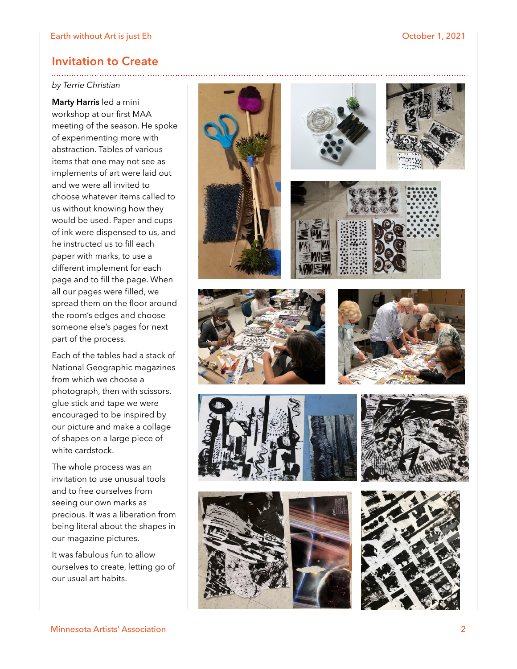#### **Invitation to Create**

#### *by Terrie Christian*

**Marty Harris** led a mini workshop at our first MAA meeting of the season. He spoke of experimenting more with abstraction. Tables of various items that one may not see as implements of art were laid out and we were all invited to choose whatever items called to us without knowing how they would be used. Paper and cups of ink were dispensed to us, and he instructed us to fill each paper with marks, to use a different implement for each page and to fill the page. When all our pages were filled, we spread them on the floor around the room's edges and choose someone else's pages for next part of the process.

Each of the tables had a stack of National Geographic magazines from which we choose a photograph, then with scissors, glue stick and tape we were encouraged to be inspired by our picture and make a collage of shapes on a large piece of white cardstock.

The whole process was an invitation to use unusual tools and to free ourselves from seeing our own marks as precious. It was a liberation from being literal about the shapes in our magazine pictures.

It was fabulous fun to allow ourselves to create, letting go of our usual art habits.

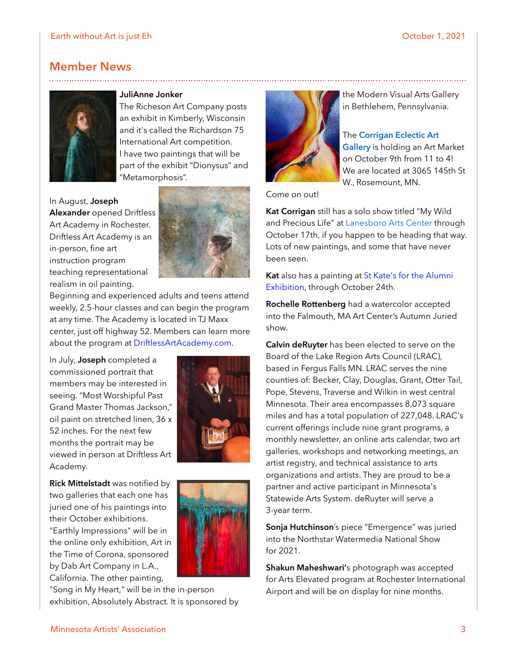#### **Member News**



#### **JuliAnne Jonker**

The Richeson Art Company posts an exhibit in Kimberly, Wisconsin and it's called the Richardson 75 International Art competition. I have two paintings that will be part of the exhibit "Dionysus" and "Metamorphosis".

In August, **Joseph Alexander** opened Driftless Art Academy in Rochester. Driftless Art Academy is an in-person, fine art

instruction program teaching representational realism in oil painting.



Beginning and experienced adults and teens attend weekly, 2.5-hour classes and can begin the program at any time. The Academy is located in TJ Maxx center, just off highway 52. Members can learn more about the program at [DriftlessArtAcademy.com.](http://driftlessartacademy.com/)

In July, **Joseph** completed a commissioned portrait that members may be interested in seeing. "Most Worshipful Past Grand Master Thomas Jackson," oil paint on stretched linen, 36 x 52 inches. For the next few months the portrait may be viewed in person at Driftless Art Academy.

**Rick Mittelstadt** was notified by two galleries that each one has juried one of his paintings into their October exhibitions. "Earthly Impressions" will be in

the online only exhibition, Art in the Time of Corona, sponsored by Dab Art Company in L.A., California. The other painting,

"Song in My Heart," will be in the in-person exhibition, Absolutely Abstract. It is sponsored by







the Modern Visual Arts Gallery in Bethlehem, Pennsylvania.

#### The **[Corrigan Eclectic Art](http://www.corriganeclectic.com/)**

**[Gallery](http://www.corriganeclectic.com/)** is holding an Art Market on October 9th from 11 to 4! We are located at 3065 145th St W., Rosemount, MN.

Come on out!

**Kat Corrigan** still has a solo show titled "My Wild and Precious Life" at [Lanesboro Arts Center](https://lanesboroarts.org/calendar/wild-precious-life-exhibition/) through October 17th, if you happen to be heading that way. Lots of new paintings, and some that have never been seen.

**Kat** also has a painting at [St Kate's for the Alumni](http://gallery.stkate.edu/exhibitions/)  [Exhibition,](http://gallery.stkate.edu/exhibitions/) through October 24th.

**Rochelle Rottenberg** had a watercolor accepted into the Falmouth, MA Art Center's Autumn Juried show.

**Calvin deRuyter** has been elected to serve on the Board of the Lake Region Arts Council (LRAC), based in Fergus Falls MN. LRAC serves the nine counties of: Becker, Clay, Douglas, Grant, Otter Tail, Pope, Stevens, Traverse and Wilkin in west central Minnesota. Their area encompasses 8,073 square miles and has a total population of 227,048. LRAC's current offerings include nine grant programs, a monthly newsletter, an online arts calendar, two art galleries, workshops and networking meetings, an artist registry, and technical assistance to arts organizations and artists. They are proud to be a partner and active participant in Minnesota's Statewide Arts System. deRuyter will serve a 3-year term.

**Sonja Hutchinson**'s piece "Emergence" was juried into the Northstar Watermedia National Show for 2021.

**Shakun Maheshwari'**s photograph was accepted for Arts Elevated program at Rochester International Airport and will be on display for nine months.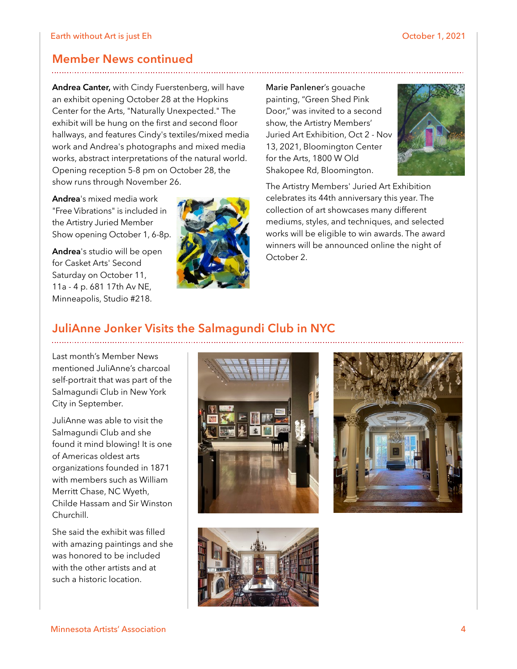#### **Member News continued**

**Andrea Canter,** with Cindy Fuerstenberg, will have an exhibit opening October 28 at the Hopkins Center for the Arts, "Naturally Unexpected." The exhibit will be hung on the first and second floor hallways, and features Cindy's textiles/mixed media work and Andrea's photographs and mixed media works, abstract interpretations of the natural world. Opening reception 5-8 pm on October 28, the show runs through November 26.

**Andrea**'s mixed media work "Free Vibrations" is included in the Artistry Juried Member Show opening October 1, 6-8p.

**Andrea**'s studio will be open for Casket Arts' Second Saturday on October 11, 11a - 4 p. 681 17th Av NE, Minneapolis, Studio #218.



Marie Panlener's gouache painting, "Green Shed Pink Door," was invited to a second show, the Artistry Members' Juried Art Exhibition, Oct 2 - Nov 13, 2021, Bloomington Center for the Arts, 1800 W Old Shakopee Rd, Bloomington.



The Artistry Members' Juried Art Exhibition celebrates its 44th anniversary this year. The collection of art showcases many different mediums, styles, and techniques, and selected works will be eligible to win awards. The award winners will be announced online the night of October 2.

### **JuliAnne Jonker Visits the Salmagundi Club in NYC**

Last month's Member News mentioned JuliAnne's charcoal self-portrait that was part of the Salmagundi Club in New York City in September.

JuliAnne was able to visit the Salmagundi Club and she found it mind blowing! It is one of Americas oldest arts organizations founded in 1871 with members such as William Merritt Chase, NC Wyeth, Childe Hassam and Sir Winston Churchill.

She said the exhibit was filled with amazing paintings and she was honored to be included with the other artists and at such a historic location.